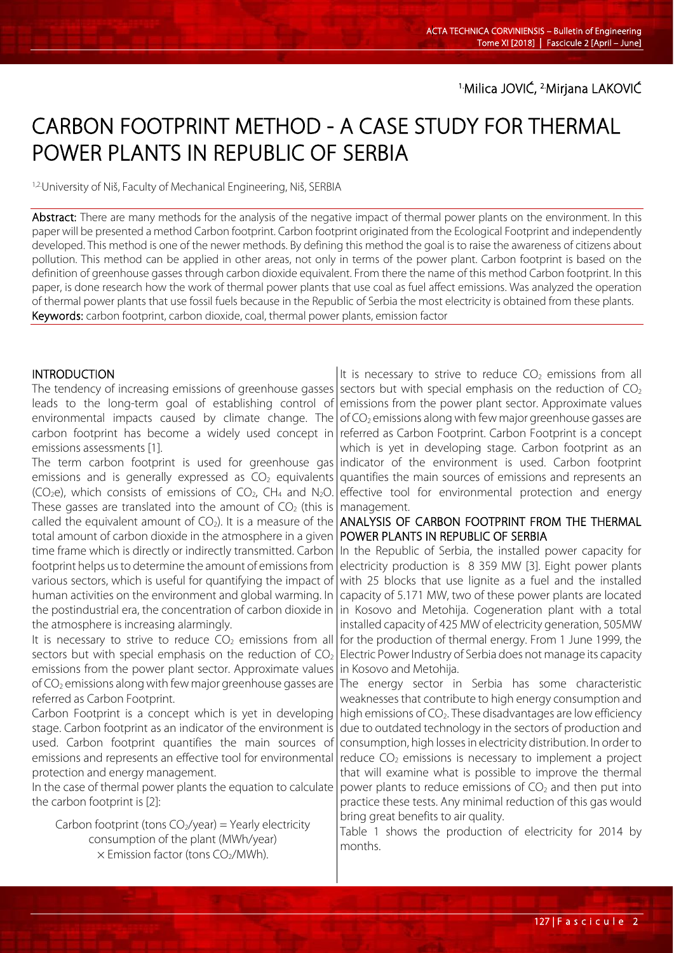# CARBON FOOTPRINT METHOD - A CASE STUDY FOR THERMAL POWER PLANTS IN REPUBLIC OF SERBIA

<sup>1,2.</sup>University of Niš, Faculty of Mechanical Engineering, Niš, SERBIA

Abstract: There are many methods for the analysis of the negative impact of thermal power plants on the environment. In this paper will be presented a method Carbon footprint. Carbon footprint originated from the Ecological Footprint and independently developed. This method is one of the newer methods. By defining this method the goal is to raise the awareness of citizens about pollution. This method can be applied in other areas, not only in terms of the power plant. Carbon footprint is based on the definition of greenhouse gasses through carbon dioxide equivalent. From there the name of this method Carbon footprint. In this paper, is done research how the work of thermal power plants that use coal as fuel affect emissions. Was analyzed the operation of thermal power plants that use fossil fuels because in the Republic of Serbia the most electricity is obtained from these plants. Keywords: carbon footprint, carbon dioxide, coal, thermal power plants, emission factor

#### **INTRODUCTION**

The tendency of increasing emissions of greenhouse gasses leads to the long-term goal of establishing control of environmental impacts caused by climate change. The carbon footprint has become a widely used concept in emissions assessments [1].

The term carbon footprint is used for greenhouse gas emissions and is generally expressed as  $CO<sub>2</sub>$  equivalents (CO<sub>2</sub>e), which consists of emissions of CO<sub>2</sub>, CH<sub>4</sub> and N<sub>2</sub>O. These gasses are translated into the amount of  $CO<sub>2</sub>$  (this is called the equivalent amount of  $CO<sub>2</sub>$ ). It is a measure of the total amount of carbon dioxide in the atmosphere in a given time frame which is directly or indirectly transmitted. Carbon footprint helps us to determine the amount of emissions from various sectors, which is useful for quantifying the impact of human activities on the environment and global warming. In the postindustrial era, the concentration of carbon dioxide in the atmosphere is increasing alarmingly.

It is necessary to strive to reduce  $CO<sub>2</sub>$  emissions from all sectors but with special emphasis on the reduction of  $CO<sub>2</sub>$ emissions from the power plant sector. Approximate values of  $CO<sub>2</sub>$  emissions along with few major greenhouse gasses are referred as Carbon Footprint.

Carbon Footprint is a concept which is yet in developing stage. Carbon footprint as an indicator of the environment is used. Carbon footprint quantifies the main sources of emissions and represents an effective tool for environmental protection and energy management.

In the case of thermal power plants the equation to calculate the carbon footprint is [2]:

Carbon footprint (tons  $CO<sub>2</sub>/year$ ) = Yearly electricity consumption of the plant (MWh/year)  $\times$  Emission factor (tons CO<sub>2</sub>/MWh).

It is necessary to strive to reduce  $CO<sub>2</sub>$  emissions from all sectors but with special emphasis on the reduction of  $CO<sub>2</sub>$ emissions from the power plant sector. Approximate values of  $CO<sub>2</sub>$  emissions along with few major greenhouse gasses are referred as Carbon Footprint. Carbon Footprint is a concept which is yet in developing stage. Carbon footprint as an indicator of the environment is used. Carbon footprint quantifies the main sources of emissions and represents an effective tool for environmental protection and energy management.

## ANALYSIS OF CARBON FOOTPRINT FROM THE THERMAL POWER PLANTS IN REPUBLIC OF SERBIA

In the Republic of Serbia, the installed power capacity for electricity production is 8 359 MW [3]. Eight power plants with 25 blocks that use lignite as a fuel and the installed capacity of 5.171 MW, two of these power plants are located in Kosovo and Metohija. Cogeneration plant with a total installed capacity of 425 MW of electricity generation, 505MW for the production of thermal energy. From 1 June 1999, the Electric Power Industry of Serbia does not manage its capacity in Kosovo and Metohija.

The energy sector in Serbia has some characteristic weaknesses that contribute to high energy consumption and high emissions of  $CO<sub>2</sub>$ . These disadvantages are low efficiency due to outdated technology in the sectors of production and consumption, high losses in electricity distribution. In order to reduce  $CO<sub>2</sub>$  emissions is necessary to implement a project that will examine what is possible to improve the thermal power plants to reduce emissions of  $CO<sub>2</sub>$  and then put into practice these tests. Any minimal reduction of this gas would bring great benefits to air quality.

Table 1 shows the production of electricity for 2014 by months.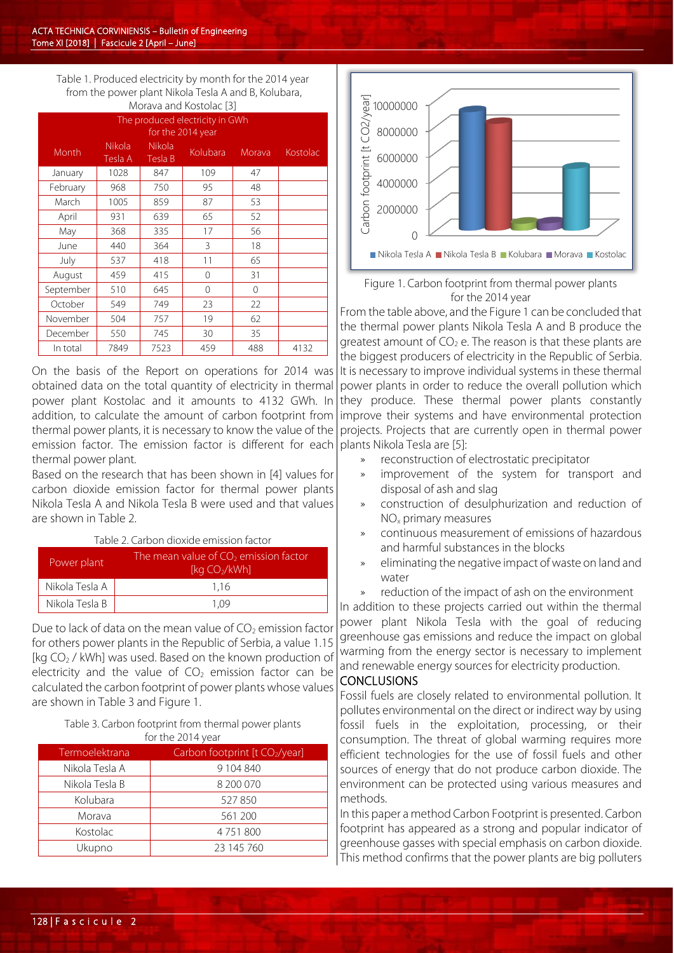Table 1. Produced electricity by month for the 2014 year from the power plant Nikola Tesla A and B, Kolubara, Morava and Kostolac [3]

| <u>MUTAVA AHU NUSLUIAC DI</u>                        |                          |                          |          |          |          |  |
|------------------------------------------------------|--------------------------|--------------------------|----------|----------|----------|--|
| The produced electricity in GWh<br>for the 2014 year |                          |                          |          |          |          |  |
| Month                                                | <b>Nikola</b><br>Tesla A | <b>Nikola</b><br>Tesla B | Kolubara | Morava   | Kostolac |  |
| January                                              | 1028                     | 847                      | 109      | 47       |          |  |
| February                                             | 968                      | 750                      | 95       | 48       |          |  |
| March                                                | 1005                     | 859                      | 87       | 53       |          |  |
| April                                                | 931                      | 639                      | 65       | 52       |          |  |
| May                                                  | 368                      | 335                      | 17       | 56       |          |  |
| June                                                 | 440                      | 364                      | 3        | 18       |          |  |
| July                                                 | 537                      | 418                      | 11       | 65       |          |  |
| August                                               | 459                      | 415                      | $\Omega$ | 31       |          |  |
| September                                            | 510                      | 645                      | $\Omega$ | $\Omega$ |          |  |
| October                                              | 549                      | 749                      | 23       | 22       |          |  |
| November                                             | 504                      | 757                      | 19       | 62       |          |  |
| December                                             | 550                      | 745                      | 30       | 35       |          |  |
| In total                                             | 7849                     | 7523                     | 459      | 488      | 4132     |  |

On the basis of the Report on operations for 2014 was obtained data on the total quantity of electricity in thermal power plant Kostolac and it amounts to 4132 GWh. In addition, to calculate the amount of carbon footprint from thermal power plants, it is necessary to know the value of the emission factor. The emission factor is different for each thermal power plant.

Based on the research that has been shown in [4] values for carbon dioxide emission factor for thermal power plants Nikola Tesla A and Nikola Tesla B were used and that values are shown in Table 2.

#### Table 2. Carbon dioxide emission factor

| Power plant    | The mean value of $CO2$ emission factor<br>[kg $CO2/kWh$ ] |  |
|----------------|------------------------------------------------------------|--|
| Nikola Tesla A | 1.16                                                       |  |
| Nikola Tesla B | 1.09                                                       |  |

Due to lack of data on the mean value of  $CO<sub>2</sub>$  emission factor for others power plants in the Republic of Serbia, a value 1.15 [kg CO<sub>2</sub> / kWh] was used. Based on the known production of electricity and the value of  $CO<sub>2</sub>$  emission factor can be calculated the carbon footprint of power plants whose values are shown in Table 3 and Figure 1.

#### Table 3. Carbon footprint from thermal power plants for the 2014 year

| Termoelektrana | Carbon footprint [t CO <sub>2</sub> /year] |  |  |
|----------------|--------------------------------------------|--|--|
| Nikola Tesla A | 9 104 840                                  |  |  |
| Nikola Tesla B | 8 200 070                                  |  |  |
| Kolubara       | 527850                                     |  |  |
| Morava         | 561 200                                    |  |  |
| Kostolac       | 4751800                                    |  |  |
| Ukupno         | 23 145 760                                 |  |  |



Figure 1. Carbon footprint from thermal power plants for the 2014 year

From the table above, and the Figure 1 can be concluded that the thermal power plants Nikola Tesla A and B produce the greatest amount of  $CO<sub>2</sub>$  e. The reason is that these plants are the biggest producers of electricity in the Republic of Serbia. It is necessary to improve individual systems in these thermal power plants in order to reduce the overall pollution which they produce. These thermal power plants constantly improve their systems and have environmental protection projects. Projects that are currently open in thermal power plants Nikola Tesla are [5]:

- » reconstruction of electrostatic precipitator
- improvement of the system for transport and disposal of ash and slag
- » construction of desulphurization and reduction of NOx primary measures
- » continuous measurement of emissions of hazardous and harmful substances in the blocks
- » eliminating the negative impact of waste on land and water
- reduction of the impact of ash on the environment

In addition to these projects carried out within the thermal power plant Nikola Tesla with the goal of reducing greenhouse gas emissions and reduce the impact on global warming from the energy sector is necessary to implement and renewable energy sources for electricity production.

# **CONCLUSIONS**

Fossil fuels are closely related to environmental pollution. It pollutes environmental on the direct or indirect way by using fossil fuels in the exploitation, processing, or their consumption. The threat of global warming requires more efficient technologies for the use of fossil fuels and other sources of energy that do not produce carbon dioxide. The environment can be protected using various measures and methods.

In this paper a method Carbon Footprint is presented. Carbon footprint has appeared as a strong and popular indicator of greenhouse gasses with special emphasis on carbon dioxide. This method confirms that the power plants are big polluters